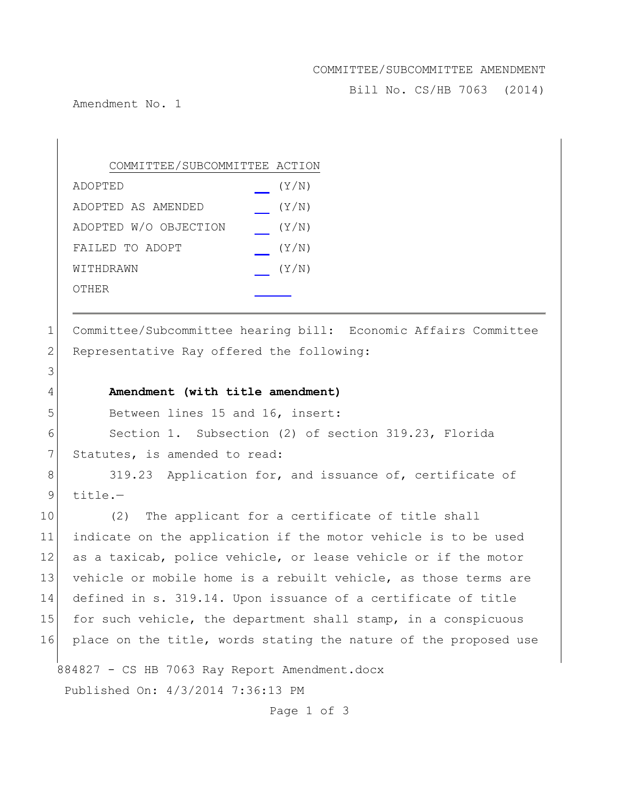### COMMITTEE/SUBCOMMITTEE AMENDMENT

Bill No. CS/HB 7063 (2014)

Amendment No. 1

| COMMITTEE/SUBCOMMITTEE ACTION |       |
|-------------------------------|-------|
| ADOPTED                       | (Y/N) |
| ADOPTED AS AMENDED            | (Y/N) |
| ADOPTED W/O OBJECTION         | (Y/N) |
| FAILED TO ADOPT               | (Y/N) |
| WITHDRAWN                     | (Y/N) |
| OTHER                         |       |

1 Committee/Subcommittee hearing bill: Economic Affairs Committee 2 Representative Ray offered the following:

## 4 **Amendment (with title amendment)**

5 Between lines 15 and 16, insert:

6 Section 1. Subsection (2) of section 319.23, Florida 7 Statutes, is amended to read:

8 319.23 Application for, and issuance of, certificate of  $9$  title.-

10 (2) The applicant for a certificate of title shall 11 indicate on the application if the motor vehicle is to be used 12 as a taxicab, police vehicle, or lease vehicle or if the motor 13 vehicle or mobile home is a rebuilt vehicle, as those terms are 14 defined in s. 319.14. Upon issuance of a certificate of title 15 for such vehicle, the department shall stamp, in a conspicuous 16 place on the title, words stating the nature of the proposed use

884827 - CS HB 7063 Ray Report Amendment.docx Published On: 4/3/2014 7:36:13 PM

Page 1 of 3

# 3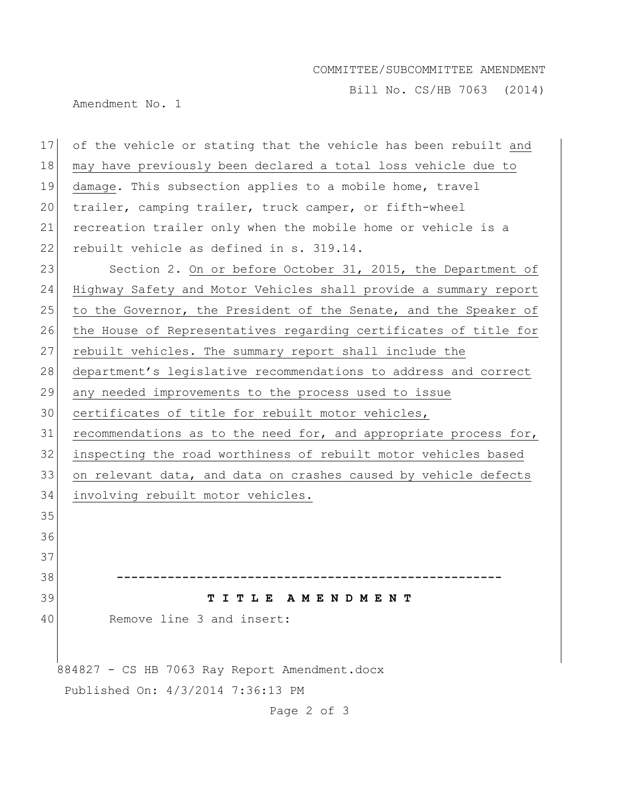# COMMITTEE/SUBCOMMITTEE AMENDMENT

Bill No. CS/HB 7063 (2014)

Amendment No. 1

| 17                                | of the vehicle or stating that the vehicle has been rebuilt and  |
|-----------------------------------|------------------------------------------------------------------|
| 18                                | may have previously been declared a total loss vehicle due to    |
| 19                                | damage. This subsection applies to a mobile home, travel         |
| 20                                | trailer, camping trailer, truck camper, or fifth-wheel           |
| 21                                | recreation trailer only when the mobile home or vehicle is a     |
| 22                                | rebuilt vehicle as defined in s. 319.14.                         |
| 23                                | Section 2. On or before October 31, 2015, the Department of      |
| 24                                | Highway Safety and Motor Vehicles shall provide a summary report |
| 25                                | to the Governor, the President of the Senate, and the Speaker of |
| 26                                | the House of Representatives regarding certificates of title for |
| 27                                | rebuilt vehicles. The summary report shall include the           |
| 28                                | department's legislative recommendations to address and correct  |
| 29                                | any needed improvements to the process used to issue             |
| 30                                | certificates of title for rebuilt motor vehicles,                |
| 31                                | recommendations as to the need for, and appropriate process for, |
| 32                                | inspecting the road worthiness of rebuilt motor vehicles based   |
| 33                                | on relevant data, and data on crashes caused by vehicle defects  |
| 34                                | involving rebuilt motor vehicles.                                |
| 35                                |                                                                  |
| 36                                |                                                                  |
| 37                                |                                                                  |
| 38                                |                                                                  |
| 39                                | TITLE AMENDMENT                                                  |
| 40                                | Remove line 3 and insert:                                        |
|                                   |                                                                  |
|                                   | 884827 - CS HB 7063 Ray Report Amendment.docx                    |
| Published On: 4/3/2014 7:36:13 PM |                                                                  |
|                                   | Page 2 of 3                                                      |